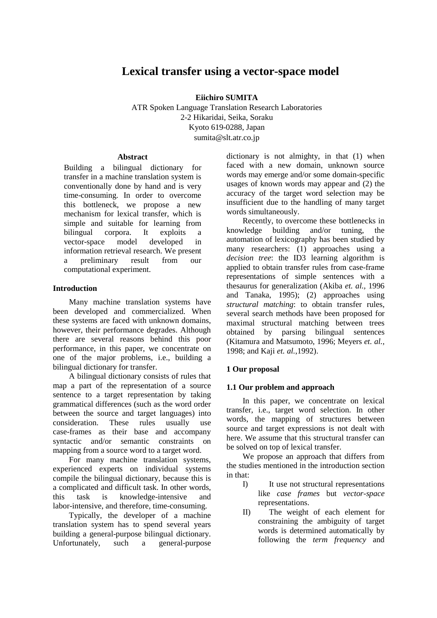# **Lexical transfer using a vector-space model**

**Eiichiro SUMITA** 

ATR Spoken Language Translation Research Laboratories 2-2 Hikaridai, Seika, Soraku Kyoto 619-0288, Japan sumita@slt.atr.co.jp

### **Abstract**

Building a bilingual dictionary for transfer in a machine translation system is conventionally done by hand and is very time-consuming. In order to overcome this bottleneck, we propose a new mechanism for lexical transfer, which is simple and suitable for learning from bilingual corpora. It exploits a vector-space model developed in information retrieval research. We present a preliminary result from our computational experiment.

### **Introduction**

Many machine translation systems have been developed and commercialized. When these systems are faced with unknown domains, however, their performance degrades. Although there are several reasons behind this poor performance, in this paper, we concentrate on one of the major problems, i.e., building a bilingual dictionary for transfer.

A bilingual dictionary consists of rules that map a part of the representation of a source sentence to a target representation by taking grammatical differences (such as the word order between the source and target languages) into consideration. These rules usually use case-frames as their base and accompany syntactic and/or semantic constraints on mapping from a source word to a target word.

For many machine translation systems, experienced experts on individual systems compile the bilingual dictionary, because this is a complicated and difficult task. In other words, this task is knowledge-intensive and labor-intensive, and therefore, time-consuming.

Typically, the developer of a machine translation system has to spend several years building a general-purpose bilingual dictionary. Unfortunately, such a general-purpose

dictionary is not almighty, in that (1) when faced with a new domain, unknown source words may emerge and/or some domain-specific usages of known words may appear and (2) the accuracy of the target word selection may be insufficient due to the handling of many target words simultaneously.

Recently, to overcome these bottlenecks in knowledge building and/or tuning, the automation of lexicography has been studied by many researchers: (1) approaches using a *decision tree*: the ID3 learning algorithm is applied to obtain transfer rules from case-frame representations of simple sentences with a thesaurus for generalization (Akiba *et. al.,* 1996 and Tanaka, 1995); (2) approaches using *structural matching*: to obtain transfer rules, several search methods have been proposed for maximal structural matching between trees obtained by parsing bilingual sentences (Kitamura and Matsumoto, 1996; Meyers *et. al.*, 1998; and Kaji *et. al.*,1992).

## **1 Our proposal**

### **1.1 Our problem and approach**

In this paper, we concentrate on lexical transfer, i.e., target word selection. In other words, the mapping of structures between source and target expressions is not dealt with here. We assume that this structural transfer can be solved on top of lexical transfer.

We propose an approach that differs from the studies mentioned in the introduction section in that:

- I) It use not structural representations like *case frames* but *vector-space* representations.
- II) The weight of each element for constraining the ambiguity of target words is determined automatically by following the *term frequency* and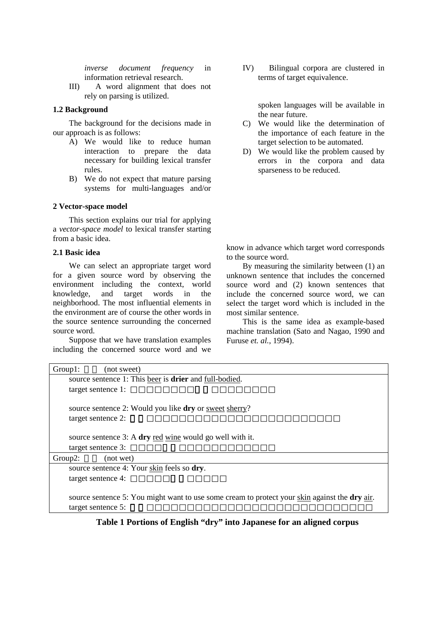<span id="page-1-0"></span>*inverse document frequency* in information retrieval research.

III) A word alignment that does not rely on parsing is utilized.

### **1.2 Background**

The background for the decisions made in our approach is as follows:

- A) We would like to reduce human interaction to prepare the data necessary for building lexical transfer rules.
- B) We do not expect that mature parsing systems for multi-languages and/or

### **2 Vector-space model**

This section explains our trial for applying a *vector-space model* to lexical transfer starting from a basic idea.

#### **2.1 Basic idea**

We can select an appropriate target word for a given source word by observing the environment including the context, world<br>knowledge, and target words in the knowledge, and target words in the neighborhood. The most influential elements in the environment are of course the other words in the source sentence surrounding the concerned source word.

Suppose that we have translation examples including the concerned source word and we IV) Bilingual corpora are clustered in terms of target equivalence.

> spoken languages will be available in the near future.

- C) We would like the determination of the importance of each feature in the target selection to be automated.
- D) We would like the problem caused by errors in the corpora and data sparseness to be reduced.

know in advance which target word corresponds to the source word.

By measuring the similarity between (1) an unknown sentence that includes the concerned source word and (2) known sentences that include the concerned source word, we can select the target word which is included in the most similar sentence.

This is the same idea as example-based machine translation (Sato and Nagao, 1990 and Furuse *et. al.*, 1994).

| Group1:<br>(not sweet)                                                                                              |
|---------------------------------------------------------------------------------------------------------------------|
| source sentence 1: This beer is drier and full-bodied.                                                              |
| target sentence 1:                                                                                                  |
| source sentence 2: Would you like <b>dry</b> or sweet sherry?<br>target sentence 2:                                 |
| source sentence 3: A dry <u>red wine</u> would go well with it.<br>target sentence 3:                               |
| Group <sub>2</sub> :<br>(not wet)                                                                                   |
| source sentence 4: Your skin feels so dry.                                                                          |
| target sentence 4:                                                                                                  |
| source sentence 5: You might want to use some cream to protect your skin against the dry air.<br>target sentence 5: |

**Table 1 Portions of English "dry" into Japanese for an aligned corpus**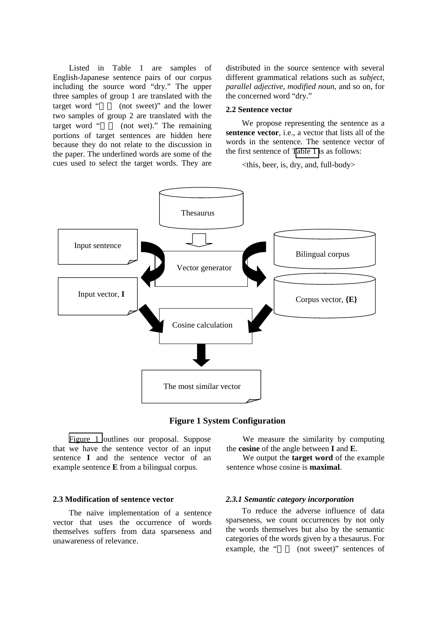Listed in Table 1 are samples of English-Japanese sentence pairs of our corpus including the source word "dry." The upper three samples of group 1 are translated with the target word " (not sweet)" and the lower two samples of group 2 are translated with the target word " (not wet)." The remaining portions of target sentences are hidden here because they do not relate to the discussion in the paper. The underlined words are some of the cues used to select the target words. They are distributed in the source sentence with several different grammatical relations such as *subject*, *parallel adjective*, *modified noun*, and so on, for the concerned word "dry."

#### **2.2 Sentence vector**

We propose representing the sentence as a sentence vector, i.e., a vector that lists all of the words in the sentence. The sentence vector of the first sentence of [Table 1 i](#page-1-0)s as follows:

 $\lt$ this, beer, is, dry, and, full-body>



**Figure 1 System Configuration** 

Figure 1 outlines our proposal. Suppose that we have the sentence vector of an input sentence **I** and the sentence vector of an example sentence **E** from a bilingual corpus.

### **2.3 Modification of sentence vector**

The naïve implementation of a sentence vector that uses the occurrence of words themselves suffers from data sparseness and unawareness of relevance.

We measure the similarity by computing the **cosine** of the angle between **I** and **E**.

We output the **target word** of the example sentence whose cosine is **maximal**.

#### *2.3.1 Semantic category incorporation*

To reduce the adverse influence of data sparseness, we count occurrences by not only the words themselves but also by the semantic categories of the words given by a thesaurus. For example, the "  $(not$  sweet)" sentences of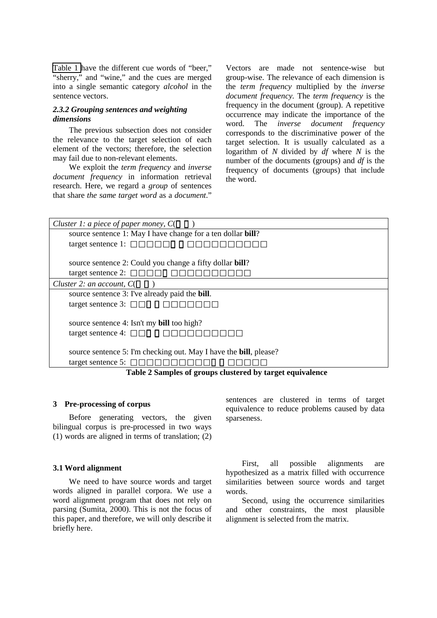[Table 1](#page-1-0) have the different cue words of "beer," "sherry," and "wine," and the cues are merged into a single semantic category *alcohol* in the sentence vectors.

### *2.3.2 Grouping sentences and weighting dimensions*

The previous subsection does not consider the relevance to the target selection of each element of the vectors; therefore, the selection may fail due to non-relevant elements.

We exploit the *term frequency* and *inverse document frequency* in information retrieval research. Here, we regard a *group* of sentences that share *the same target word* as a *document*."

Vectors are made not sentence-wise but group-wise. The relevance of each dimension is the *term frequency* multiplied by the *inverse document frequency*. The *term frequency* is the frequency in the document (group). A repetitive occurrence may indicate the importance of the word. The *inverse document frequency* corresponds to the discriminative power of the target selection. It is usually calculated as a logarithm of *N* divided by *df* where *N* is the number of the documents (groups) and *df* is the frequency of documents (groups) that include the word.

| Cluster 1: a piece of paper money, $C($                                   |
|---------------------------------------------------------------------------|
| source sentence 1: May I have change for a ten dollar bill?               |
| target sentence 1:                                                        |
|                                                                           |
| source sentence 2: Could you change a fifty dollar bill?                  |
| target sentence 2:                                                        |
| Cluster 2: an account, $C($                                               |
| source sentence 3: I've already paid the <b>bill</b> .                    |
| target sentence 3:                                                        |
|                                                                           |
| source sentence 4: Isn't my <b>bill</b> too high?                         |
| target sentence 4:                                                        |
|                                                                           |
| source sentence 5: I'm checking out. May I have the <b>bill</b> , please? |
| target sentence 5:                                                        |

**Table 2 Samples of groups clustered by target equivalence** 

#### **3 Pre-processing of corpus**

Before generating vectors, the given bilingual corpus is pre-processed in two ways (1) words are aligned in terms of translation; (2)

#### **3.1 Word alignment**

We need to have source words and target words aligned in parallel corpora. We use a word alignment program that does not rely on parsing (Sumita, 2000). This is not the focus of this paper, and therefore, we will only describe it briefly here.

sentences are clustered in terms of target equivalence to reduce problems caused by data sparseness.

First, all possible alignments are hypothesized as a matrix filled with occurrence similarities between source words and target words.

Second, using the occurrence similarities and other constraints, the most plausible alignment is selected from the matrix.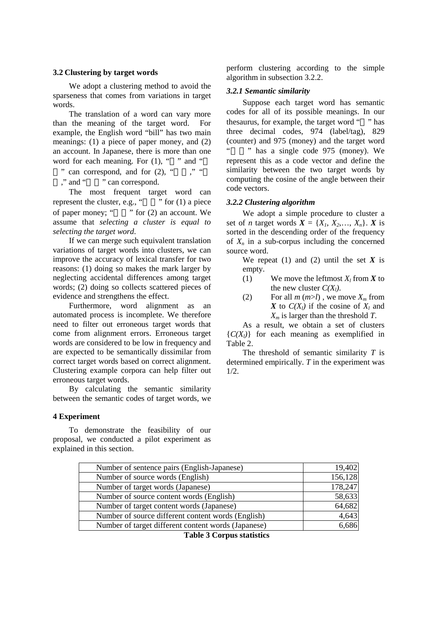### **3.2 Clustering by target words**

We adopt a clustering method to avoid the sparseness that comes from variations in target words.

The translation of a word can vary more than the meaning of the target word. For example, the English word "bill" has two main meanings: (1) a piece of paper money, and (2) an account. In Japanese, there is more than one word for each meaning. For  $(1)$ , " " and "

" can correspond, and for  $(2)$ , " $''$ , "

," and " " can correspond.

The most frequent target word can represent the cluster, e.g., " $\cdots$  " for (1) a piece of paper money; " $\cdot$ " for (2) an account. We assume that *selecting a cluster is equal to selecting the target word*.

If we can merge such equivalent translation variations of target words into clusters, we can improve the accuracy of lexical transfer for two reasons: (1) doing so makes the mark larger by neglecting accidental differences among target words; (2) doing so collects scattered pieces of evidence and strengthens the effect.

Furthermore, word alignment as an automated process is incomplete. We therefore need to filter out erroneous target words that come from alignment errors. Erroneous target words are considered to be low in frequency and are expected to be semantically dissimilar from correct target words based on correct alignment. Clustering example corpora can help filter out erroneous target words.

By calculating the semantic similarity between the semantic codes of target words, we

### **4 Experiment**

To demonstrate the feasibility of our proposal, we conducted a pilot experiment as explained in this section.

perform clustering according to the simple algorithm in subsection 3.2.2.

### *3.2.1 Semantic similarity*

Suppose each target word has semantic codes for all of its possible meanings. In our thesaurus, for example, the target word " " has three decimal codes, 974 (label/tag), 829 (counter) and 975 (money) and the target word  $"$  has a single code 975 (money). We represent this as a code vector and define the similarity between the two target words by computing the cosine of the angle between their code vectors.

### *3.2.2 Clustering algorithm*

We adopt a simple procedure to cluster a set of *n* target words  $X = \{X_1, X_2, \ldots, X_n\}$ . *X* is sorted in the descending order of the frequency of  $X_n$  in a sub-corpus including the concerned source word.

We repeat (1) and (2) until the set  $X$  is empty.

- (1) We move the leftmost  $X_l$  from  $\boldsymbol{X}$  to the new cluster  $C(X_i)$ .
- (2) For all  $m (m >l)$ , we move  $X_m$  from *X* to  $C(X_i)$  if the cosine of  $X_i$  and *Xm* is larger than the threshold *T*.

As a result, we obtain a set of clusters  ${C(X<sub>l</sub>)}$  for each meaning as exemplified in Table 2.

The threshold of semantic similarity *T* is determined empirically. *T* in the experiment was 1/2.

| Number of sentence pairs (English-Japanese)         | 19,402  |
|-----------------------------------------------------|---------|
| Number of source words (English)                    | 156,128 |
| Number of target words (Japanese)                   | 178,247 |
| Number of source content words (English)            | 58,633  |
| Number of target content words (Japanese)           | 64,682  |
| Number of source different content words (English)  | 4,643   |
| Number of target different content words (Japanese) | 6,686   |

**Table 3 Corpus statistics**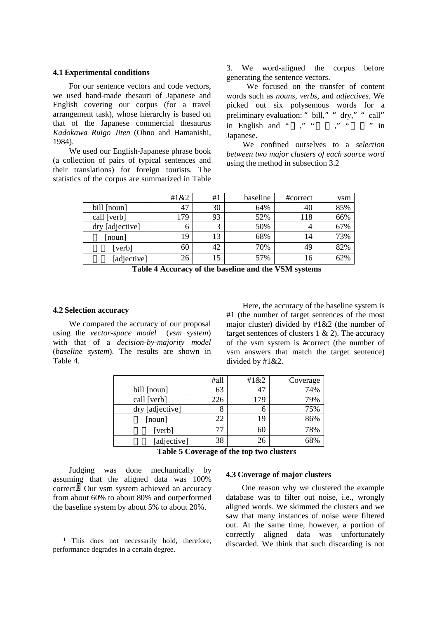#### <span id="page-5-0"></span>**4.1 Experimental conditions**

For our sentence vectors and code vectors, we used hand-made thesauri of Japanese and English covering our corpus (for a travel arrangement task), whose hierarchy is based on that of the Japanese commercial thesaurus *Kadokawa Ruigo Jiten* (Ohno and Hamanishi, 1984).

We used our English-Japanese phrase book (a collection of pairs of typical sentences and their translations) for foreign tourists. The statistics of the corpus are summarized in Table

3. We word-aligned the corpus before generating the sentence vectors.

 We focused on the transfer of content words such as *nouns*, *verbs*, and *adjectives*. We picked out six polysemous words for a preliminary evaluation: " bill," " dry," " call"<br>in English and " " " " " " in English and "  $" " " " " " " " " " "$ Japanese.

We confined ourselves to a *selection between two major clusters of each source word* using the method in subsection 3.2

|                 | #1&2 | #1 | baseline | #correct       | vsm |
|-----------------|------|----|----------|----------------|-----|
| bill [noun]     | 47   | 30 | 64%      | 40             | 85% |
| call [verb]     | 179  | 93 | 52%      | 118            | 66% |
| dry [adjective] | 6    | 3  | 50%      | $\overline{4}$ | 67% |
| [noun]          | 19   | 13 | 68%      | 14             | 73% |
| [verb]          | 60   | 42 | 70%      | 49             | 82% |
| [adjective]     | 26   | 15 | 57%      | 16             | 62% |

**Table 4 Accuracy of the baseline and the VSM systems** 

#### **4.2 Selection accuracy**

We compared the accuracy of our proposal using the *vector-space model* (*vsm system*) with that of a *decision-by-majority model*  (*baseline system*). The results are shown in Table 4.

Here, the accuracy of the baseline system is #1 (the number of target sentences of the most major cluster) divided by #1&2 (the number of target sentences of clusters  $1 \& 2$ ). The accuracy of the vsm system is #correct (the number of vsm answers that match the target sentence) divided by #1&2.

|                 | #all | #1&2 | Coverage |
|-----------------|------|------|----------|
| bill [noun]     | 63   | 47   | 74%      |
| call [verb]     | 226  | 179  | 79%      |
| dry [adjective] | 8    |      | 75%      |
| [noun]          | 22   | 19   | 86%      |
| [verb]          | 77   | 60   | 78%      |
| [adjective]     | 38   | 26   | 68%      |

**Table 5 Coverage of the top two clusters** 

Judging was done mechanically by assuming that the aligned data was 100% correct.1 Our vsm system achieved an accuracy from about 60% to about 80% and outperformed the baseline system by about 5% to about 20%.

### **4.3 Coverage of major clusters**

One reason why we clustered the example database was to filter out noise, i.e., wrongly aligned words. We skimmed the clusters and we saw that many instances of noise were filtered out. At the same time, however, a portion of correctly aligned data was unfortunately discarded. We think that such discarding is not

<sup>&</sup>lt;sup>1</sup> This does not necessarily hold, therefore, performance degrades in a certain degree.